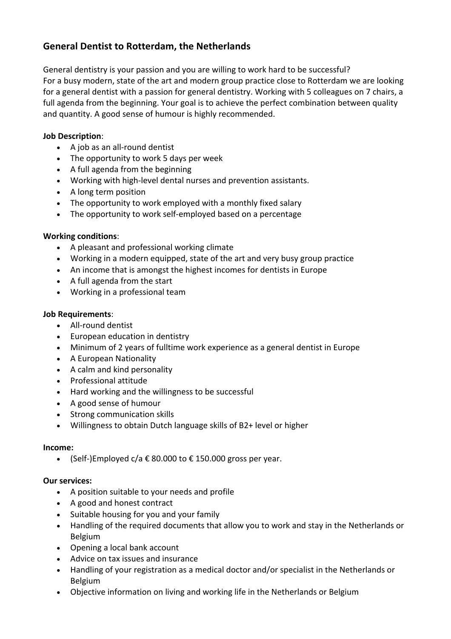## **General Dentist to Rotterdam, the Netherlands**

General dentistry is your passion and you are willing to work hard to be successful? For a busy modern, state of the art and modern group practice close to Rotterdam we are looking for a general dentist with a passion for general dentistry. Working with 5 colleagues on 7 chairs, a full agenda from the beginning. Your goal is to achieve the perfect combination between quality and quantity. A good sense of humour is highly recommended.

### **Job Description**:

- A job as an all-round dentist
- The opportunity to work 5 days per week
- A full agenda from the beginning
- Working with high-level dental nurses and prevention assistants.
- A long term position
- The opportunity to work employed with a monthly fixed salary
- The opportunity to work self-employed based on a percentage

### **Working conditions**:

- A pleasant and professional working climate
- Working in a modern equipped, state of the art and very busy group practice
- An income that is amongst the highest incomes for dentists in Europe
- A full agenda from the start
- Working in a professional team

### **Job Requirements**:

- All-round dentist
- European education in dentistry
- Minimum of 2 years of fulltime work experience as a general dentist in Europe
- A European Nationality
- A calm and kind personality
- Professional attitude
- Hard working and the willingness to be successful
- A good sense of humour
- Strong communication skills
- Willingness to obtain Dutch language skills of B2+ level or higher

### **Income:**

• (Self-)Employed  $c/a \notin 80.000$  to  $\epsilon$  150.000 gross per year.

### **Our services:**

- A position suitable to your needs and profile
- A good and honest contract
- Suitable housing for you and your family
- Handling of the required documents that allow you to work and stay in the Netherlands or Belgium
- Opening a local bank account
- Advice on tax issues and insurance
- Handling of your registration as a medical doctor and/or specialist in the Netherlands or Belgium
- Objective information on living and working life in the Netherlands or Belgium